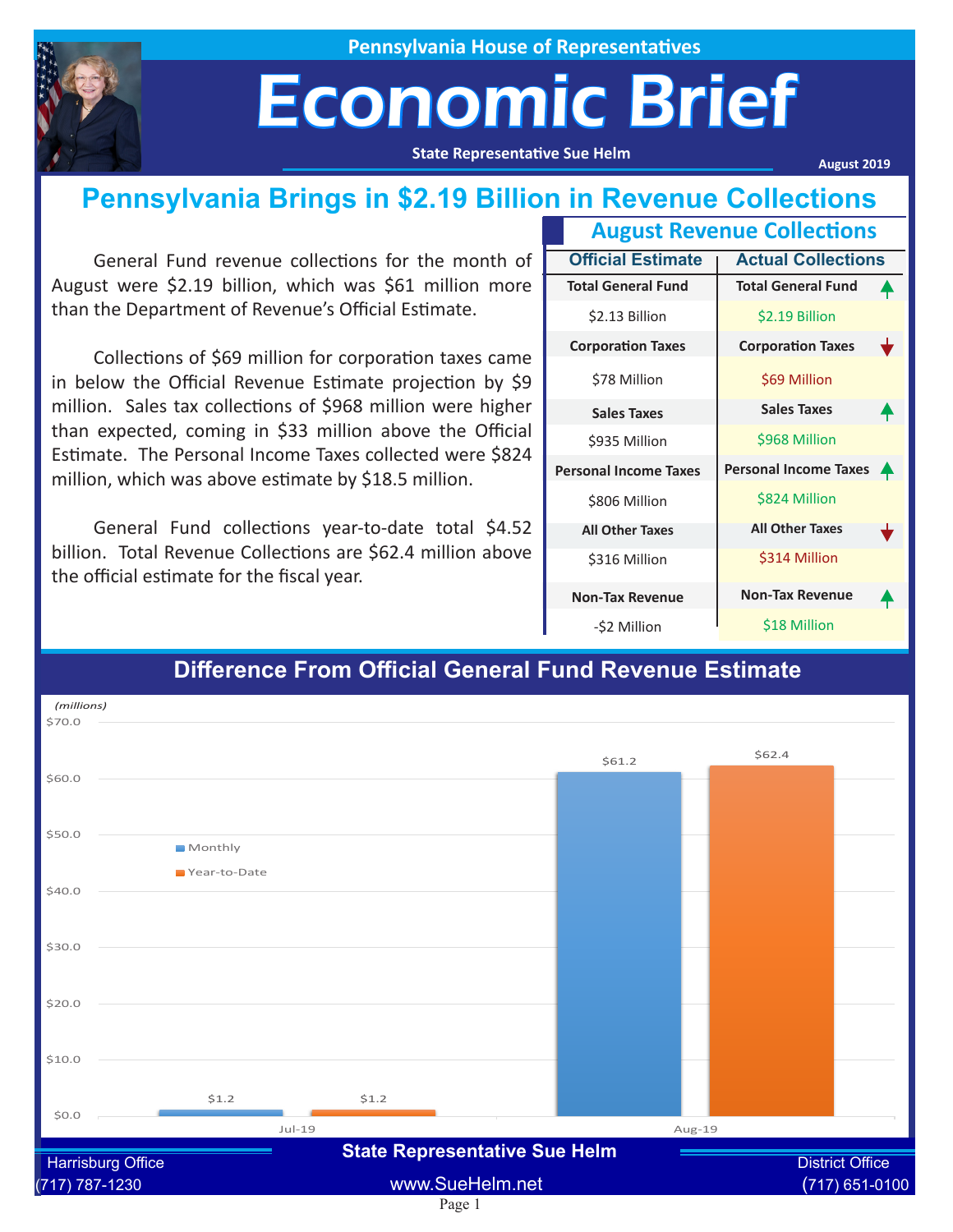

**Pennsylvania House of Representatives**

## Economic Brief

**State Representative Sue Helm**

**August 2019**

#### **Pennsylvania Brings in \$2.19 Billion in Revenue Collections**

General Fund revenue collections for the month of August were \$2.19 billion, which was \$61 million more than the Department of Revenue's Official Estimate.

Collections of \$69 million for corporation taxes came in below the Official Revenue Estimate projection by \$9 million. Sales tax collections of \$968 million were higher than expected, coming in \$33 million above the Official Estimate. The Personal Income Taxes collected were \$824 million, which was above estimate by \$18.5 million.

General Fund collections year-to-date total \$4.52 billion. Total Revenue Collections are \$62.4 million above the official estimate for the fiscal year.

| <b>August Revenue Collections</b> |                              |                  |
|-----------------------------------|------------------------------|------------------|
| <b>Official Estimate</b>          | <b>Actual Collections</b>    |                  |
| <b>Total General Fund</b>         | <b>Total General Fund</b>    |                  |
| \$2.13 Billion                    | \$2.19 Billion               |                  |
| <b>Corporation Taxes</b>          | <b>Corporation Taxes</b>     |                  |
| \$78 Million                      | \$69 Million                 |                  |
| <b>Sales Taxes</b>                | <b>Sales Taxes</b>           |                  |
| \$935 Million                     | \$968 Million                |                  |
| <b>Personal Income Taxes</b>      | <b>Personal Income Taxes</b> | $\blacktriangle$ |
| \$806 Million                     | \$824 Million                |                  |
| <b>All Other Taxes</b>            | <b>All Other Taxes</b>       |                  |
| \$316 Million                     | \$314 Million                |                  |
| <b>Non-Tax Revenue</b>            | <b>Non-Tax Revenue</b>       |                  |
| -\$2 Million                      | \$18 Million                 |                  |

#### Page 1  $51.2$ \$61.2  $51.2$  $$62A$ \$0.0 \$10.0 \$20.0  $$30.0$ \$40.0 \$50.0 \$60.0 \$70.0 Jul-19 Aug-19 Monthly Year-to-Date *(millions)* Harrisburg Office **Example 2018** Clare Representative Cate Remin and District Office (717) 787-1230 www.SueHelm.net (717) 651-0100 **State Representative Sue Helm**

#### **Difference From Official General Fund Revenue Estimate**